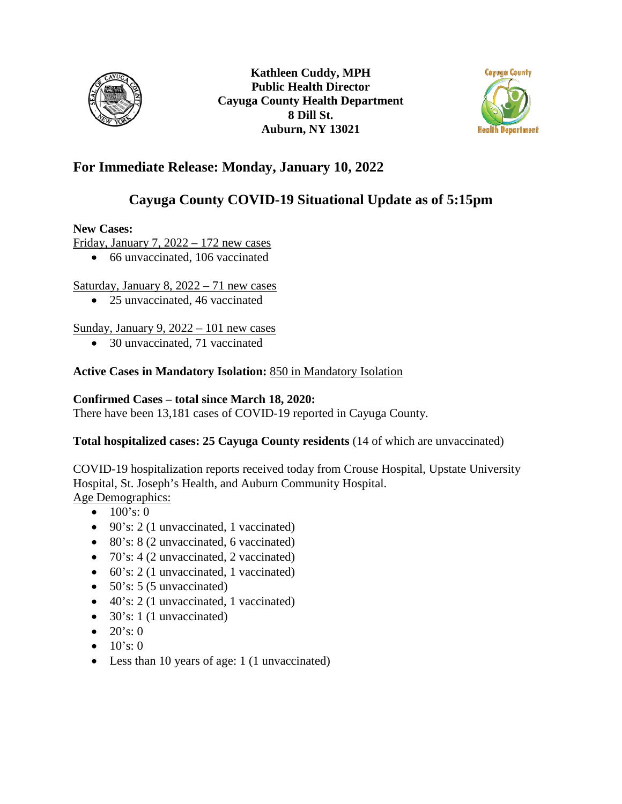



# **For Immediate Release: Monday, January 10, 2022**

# **Cayuga County COVID-19 Situational Update as of 5:15pm**

### **New Cases:**

Friday, January 7,  $2022 - 172$  new cases

• 66 unvaccinated, 106 vaccinated

# Saturday, January 8, 2022 – 71 new cases

• 25 unvaccinated, 46 vaccinated

# Sunday, January 9, 2022 – 101 new cases

• 30 unvaccinated, 71 vaccinated

# **Active Cases in Mandatory Isolation:** 850 in Mandatory Isolation

### **Confirmed Cases – total since March 18, 2020:**

There have been 13,181 cases of COVID-19 reported in Cayuga County.

# **Total hospitalized cases: 25 Cayuga County residents** (14 of which are unvaccinated)

COVID-19 hospitalization reports received today from Crouse Hospital, Upstate University Hospital, St. Joseph's Health, and Auburn Community Hospital. Age Demographics:

- $100's: 0$
- 90's: 2 (1 unvaccinated, 1 vaccinated)
- 80's: 8 (2 unvaccinated, 6 vaccinated)
- 70's: 4 (2 unvaccinated, 2 vaccinated)
- 60's: 2 (1 unvaccinated, 1 vaccinated)
- $50\text{'s}$ : 5 (5 unvaccinated)
- 40's: 2 (1 unvaccinated, 1 vaccinated)
- $30's: 1 (1$  unvaccinated)
- $20's: 0$
- $10's: 0$
- Less than 10 years of age: 1 (1 unvaccinated)